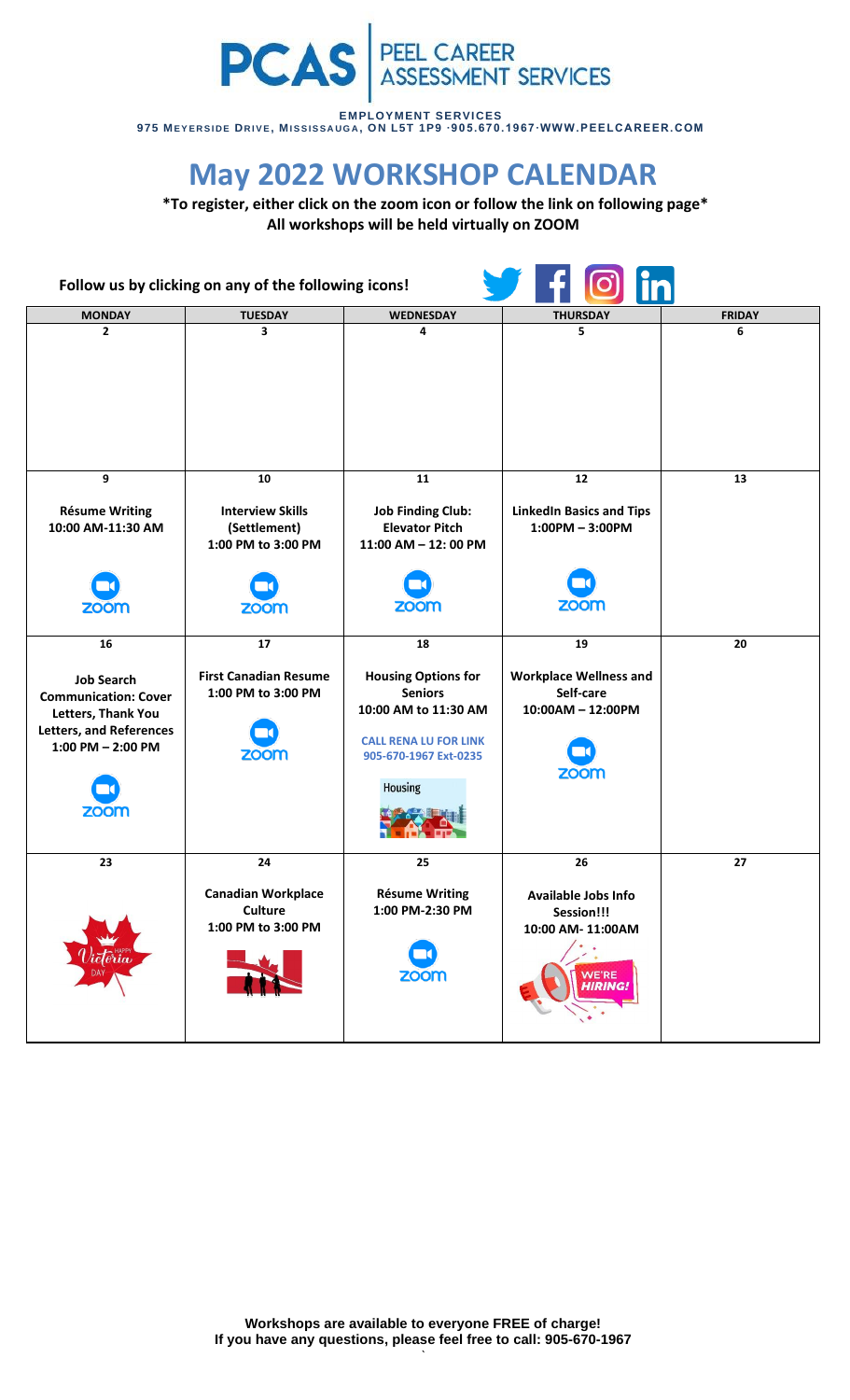

**EMPLOYMENT SERVICES 975 ME Y E R S I D E DR I V E, MI S S I S S A U G A , ON L5T 1P9 ∙9 0 5. 6 7 0. 1 9 6 7∙WWW.PEE LCA REE R. COM**

## **May 2022 WORKSHOP CALENDAR**

**\*To register, either click on the zoom icon or follow the link on following page\* All workshops will be held virtually on ZOOM**

| Follow us by clicking on any of the following icons!                                                                              |                                                               |                                                                                                                                                 |                                                                                  |               |
|-----------------------------------------------------------------------------------------------------------------------------------|---------------------------------------------------------------|-------------------------------------------------------------------------------------------------------------------------------------------------|----------------------------------------------------------------------------------|---------------|
| <b>MONDAY</b>                                                                                                                     | <b>TUESDAY</b>                                                | WEDNESDAY                                                                                                                                       | <b>THURSDAY</b>                                                                  | <b>FRIDAY</b> |
| $\overline{2}$                                                                                                                    | 3                                                             | 4                                                                                                                                               | 5                                                                                | 6             |
| 9                                                                                                                                 | 10                                                            | 11                                                                                                                                              | 12                                                                               | 13            |
| <b>Résume Writing</b><br>10:00 AM-11:30 AM                                                                                        | <b>Interview Skills</b><br>(Settlement)<br>1:00 PM to 3:00 PM | <b>Job Finding Club:</b><br><b>Elevator Pitch</b><br>$11:00$ AM $- 12:00$ PM                                                                    | <b>LinkedIn Basics and Tips</b><br>$1:00PM - 3:00PM$                             |               |
| zoom                                                                                                                              | <b>ZOOM</b>                                                   | <b>ZOOM</b>                                                                                                                                     | <b>ZOOM</b>                                                                      |               |
| 16                                                                                                                                | 17                                                            | 18                                                                                                                                              | 19                                                                               | 20            |
| <b>Job Search</b><br><b>Communication: Cover</b><br>Letters, Thank You<br><b>Letters, and References</b><br>$1:00$ PM $- 2:00$ PM | <b>First Canadian Resume</b><br>1:00 PM to 3:00 PM<br>zoom    | <b>Housing Options for</b><br><b>Seniors</b><br>10:00 AM to 11:30 AM<br><b>CALL RENA LU FOR LINK</b><br>905-670-1967 Ext-0235<br><b>Housing</b> | <b>Workplace Wellness and</b><br>Self-care<br>10:00AM - 12:00PM<br>zoom          |               |
| zoom                                                                                                                              |                                                               |                                                                                                                                                 |                                                                                  |               |
| 23                                                                                                                                | 24                                                            | 25                                                                                                                                              | 26                                                                               | 27            |
| icloria                                                                                                                           | <b>Canadian Workplace</b><br>Culture<br>1:00 PM to 3:00 PM    | <b>Résume Writing</b><br>1:00 PM-2:30 PM<br><b>ZOOM</b>                                                                                         | Available Jobs Info<br>Session!!!<br>10:00 AM-11:00AM<br>WE'RE<br><b>HIRING!</b> |               |